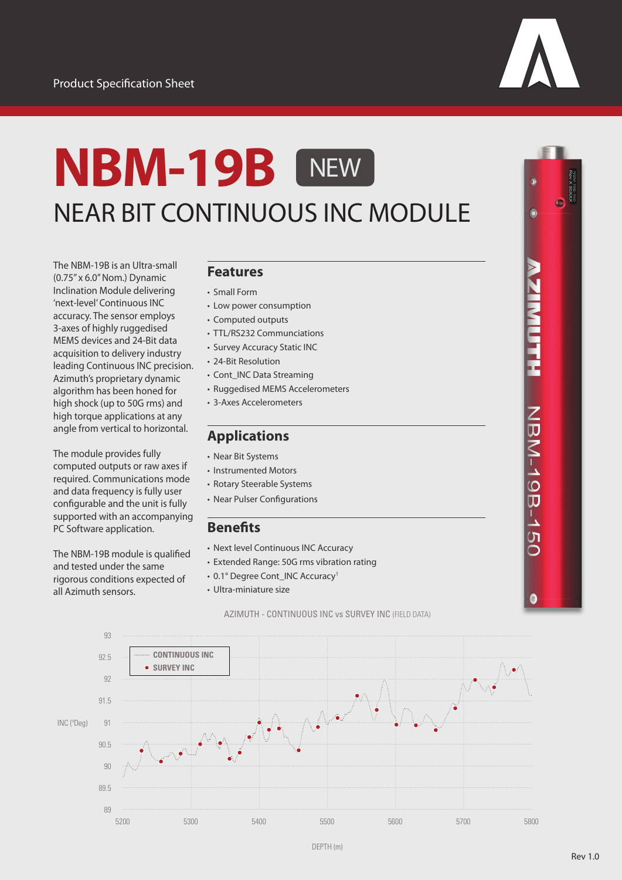

# **NBM-19B** NEAR BIT CONTINUOUS INC MODULE **NEW**

The NBM-19B is an Ultra-small (0.75" x 6.0" Nom.) Dynamic Inclination Module delivering 'next-level' Continuous INC accuracy. The sensor employs 3-axes of highly ruggedised MEMS devices and 24-Bit data acquisition to delivery industry leading Continuous INC precision. Azimuth's proprietary dynamic algorithm has been honed for high shock (up to 50G rms) and high torque applications at any angle from vertical to horizontal.

The module provides fully computed outputs or raw axes if required. Communications mode and data frequency is fully user configurable and the unit is fully supported with an accompanying PC Software application.

The NBM-19B module is qualified and tested under the same rigorous conditions expected of all Azimuth sensors.

#### **Features**

- Small Form • Low power consumption
- Computed outputs
- TTL/RS232 Communciations
- Survey Accuracy Static INC
- 24-Bit Resolution
- Cont\_INC Data Streaming
- Ruggedised MEMS Accelerometers
- 3-Axes Accelerometers

### **Applications**

- Near Bit Systems
- Instrumented Motors
- Rotary Steerable Systems
- Near Pulser Configurations

#### **Benefits**

- Next level Continuous INC Accuracy
- Extended Range: 50G rms vibration rating
- 0.1° Degree Cont\_INC Accuracy<sup>1</sup>
- Ultra-miniature size

AZIMUTH - CONTINUOUS INC vs SURVEY INC (FIELD DATA)